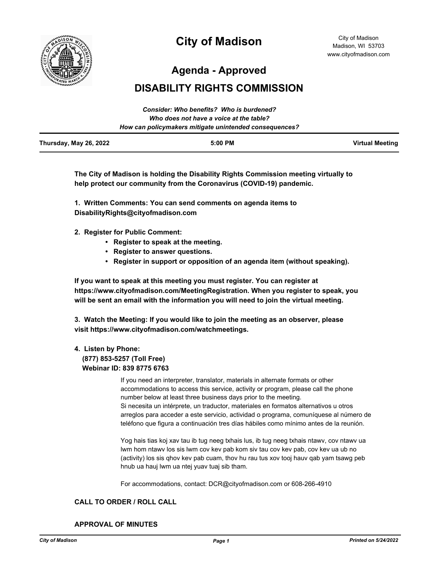

# **City of Madison**

City of Madison Madison, WI 53703 www.cityofmadison.com

**Agenda - Approved**

# **DISABILITY RIGHTS COMMISSION**

|                        | Consider: Who benefits? Who is burdened?               |                 |
|------------------------|--------------------------------------------------------|-----------------|
|                        | Who does not have a voice at the table?                |                 |
|                        | How can policymakers mitigate unintended consequences? |                 |
| Thursday, May 26, 2022 | $5:00$ PM                                              | Virtual Meeting |

**The City of Madison is holding the Disability Rights Commission meeting virtually to help protect our community from the Coronavirus (COVID-19) pandemic.**

**1. Written Comments: You can send comments on agenda items to DisabilityRights@cityofmadison.com**

- **2. Register for Public Comment:** 
	- **Register to speak at the meeting.**
	- **Register to answer questions.**
	- **Register in support or opposition of an agenda item (without speaking).**

**If you want to speak at this meeting you must register. You can register at https://www.cityofmadison.com/MeetingRegistration. When you register to speak, you will be sent an email with the information you will need to join the virtual meeting.**

**3. Watch the Meeting: If you would like to join the meeting as an observer, please visit https://www.cityofmadison.com/watchmeetings.**

## **4. Listen by Phone:**

#### **(877) 853-5257 (Toll Free) Webinar ID: 839 8775 6763**

If you need an interpreter, translator, materials in alternate formats or other accommodations to access this service, activity or program, please call the phone number below at least three business days prior to the meeting. Si necesita un intérprete, un traductor, materiales en formatos alternativos u otros arreglos para acceder a este servicio, actividad o programa, comuníquese al número de teléfono que figura a continuación tres días hábiles como mínimo antes de la reunión.

Yog hais tias koj xav tau ib tug neeg txhais lus, ib tug neeg txhais ntawv, cov ntawv ua lwm hom ntawv los sis lwm cov kev pab kom siv tau cov kev pab, cov kev ua ub no (activity) los sis qhov kev pab cuam, thov hu rau tus xov tooj hauv qab yam tsawg peb hnub ua hauj lwm ua ntej yuav tuaj sib tham.

For accommodations, contact: DCR@cityofmadison.com or 608-266-4910

#### **CALL TO ORDER / ROLL CALL**

**APPROVAL OF MINUTES**